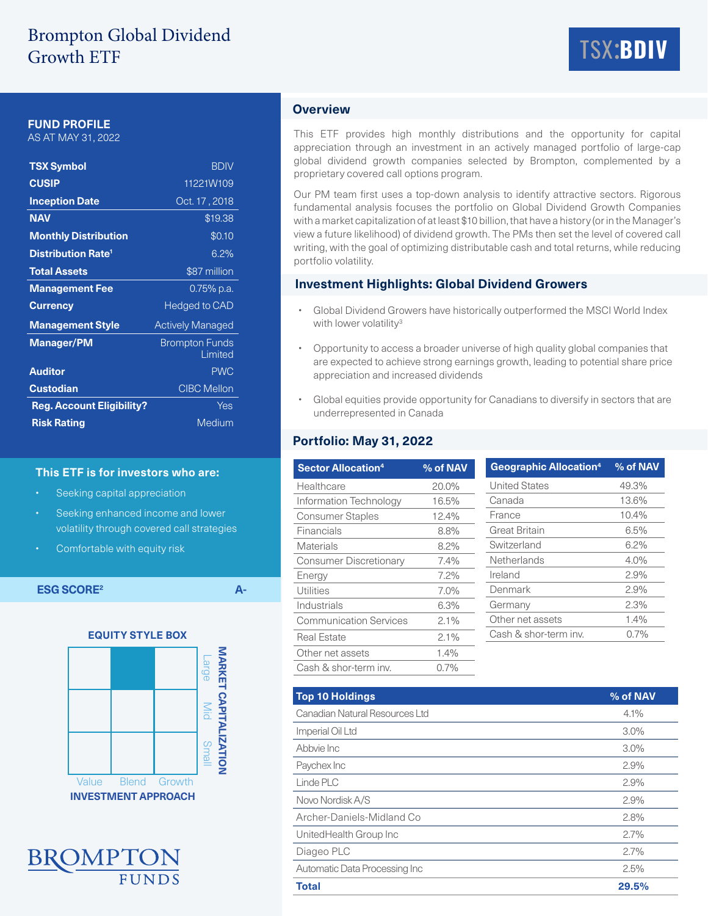# Brompton Global Dividend Growth ETF



## **FUND PROFILE**

AS AT MAY 31, 2022

| <b>TSX Symbol</b>                    | <b>BDIV</b>                      |  |  |
|--------------------------------------|----------------------------------|--|--|
| <b>CUSIP</b>                         | 11221W109                        |  |  |
| <b>Inception Date</b>                | Oct. 17, 2018                    |  |  |
| <b>NAV</b>                           | \$19.38                          |  |  |
| <b>Monthly Distribution</b>          | \$0.10                           |  |  |
| <b>Distribution Rate<sup>1</sup></b> | 6.2%                             |  |  |
| <b>Total Assets</b>                  | \$87 million                     |  |  |
| <b>Management Fee</b>                | 0.75% p.a.                       |  |  |
| <b>Currency</b>                      | Hedged to CAD                    |  |  |
| <b>Management Style</b>              | <b>Actively Managed</b>          |  |  |
| <b>Manager/PM</b>                    | <b>Brompton Funds</b><br>Limited |  |  |
| <b>Auditor</b>                       | <b>PWC</b>                       |  |  |
| <b>Custodian</b>                     | <b>CIBC Mellon</b>               |  |  |
| <b>Reg. Account Eligibility?</b>     | Yes                              |  |  |
| <b>Risk Rating</b>                   | Medium                           |  |  |

#### **This ETF is for investors who are:**

- Seeking capital appreciation
- Seeking enhanced income and lower volatility through covered call strategies
- Comfortable with equity risk

**ESG SCORE2 A-**





# **Overview**

This ETF provides high monthly distributions and the opportunity for capital appreciation through an investment in an actively managed portfolio of large-cap global dividend growth companies selected by Brompton, complemented by a proprietary covered call options program.

Our PM team first uses a top-down analysis to identify attractive sectors. Rigorous fundamental analysis focuses the portfolio on Global Dividend Growth Companies with a market capitalization of at least \$10 billion, that have a history (or in the Manager's view a future likelihood) of dividend growth. The PMs then set the level of covered call writing, with the goal of optimizing distributable cash and total returns, while reducing portfolio volatility.

#### **Investment Highlights: Global Dividend Growers**

- Global Dividend Growers have historically outperformed the MSCI World Index with lower volatility<sup>3</sup>
- Opportunity to access a broader universe of high quality global companies that are expected to achieve strong earnings growth, leading to potential share price appreciation and increased dividends
- Global equities provide opportunity for Canadians to diversify in sectors that are underrepresented in Canada

## **Portfolio: May 31, 2022**

| <b>Sector Allocation4</b>     | % of NAV | Geograph           |  |
|-------------------------------|----------|--------------------|--|
| Healthcare                    | 20.0%    | United Sta         |  |
| Information Technology        | 16.5%    | Canada             |  |
| <b>Consumer Staples</b>       | 12.4%    | France             |  |
| Financials                    | 8.8%     | <b>Great Brita</b> |  |
| Materials                     | 8.2%     |                    |  |
| <b>Consumer Discretionary</b> | 7.4%     | Netherlan          |  |
| Energy                        | 7.2%     | Ireland            |  |
| Utilities                     | 7.0%     | Denmark            |  |
| Industrials                   | 6.3%     | Germany            |  |
| <b>Communication Services</b> | $2.1\%$  | Other net          |  |
| <b>Real Estate</b>            | $2.1\%$  | Cash & sh          |  |
| Other net assets              | 1.4%     |                    |  |
| Cash & shor-term inv.         | 0.7%     |                    |  |

| <b>Geographic Allocation4</b> | % of NAV |
|-------------------------------|----------|
| <b>United States</b>          | 49.3%    |
| Canada                        | 13.6%    |
| France                        | 10.4%    |
| <b>Great Britain</b>          | 6.5%     |
| Switzerland                   | $6.2\%$  |
| Netherlands                   | 4.0%     |
| Ireland                       | 2.9%     |
| Denmark                       | 2.9%     |
| Germany                       | 2.3%     |
| Other net assets              | $1.4\%$  |
| Cash & shor-term inv.         | 0.7%     |

| <b>Top 10 Holdings</b>         | % of NAV |
|--------------------------------|----------|
| Canadian Natural Resources Ltd | 4.1%     |
| Imperial Oil Ltd               | $3.0\%$  |
| Abbyie Inc                     | $3.0\%$  |
| Paychex Inc                    | 2.9%     |
| Linde PLC                      | 2.9%     |
| Novo Nordisk A/S               | 2.9%     |
| Archer-Daniels-Midland Co      | 2.8%     |
| UnitedHealth Group Inc         | 2.7%     |
| Diageo PLC                     | 2.7%     |
| Automatic Data Processing Inc  | 2.5%     |
| <b>Total</b>                   | 29.5%    |